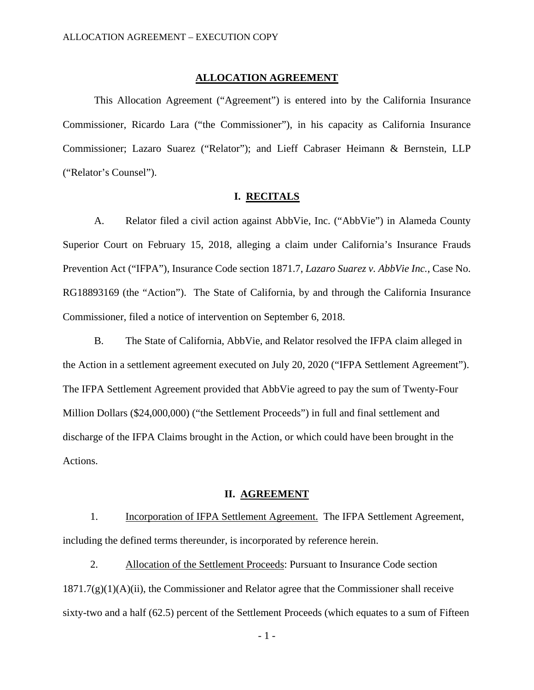#### **ALLOCATION AGREEMENT**

This Allocation Agreement ("Agreement") is entered into by the California Insurance Commissioner, Ricardo Lara ("the Commissioner"), in his capacity as California Insurance Commissioner; Lazaro Suarez ("Relator"); and Lieff Cabraser Heimann & Bernstein, LLP ("Relator's Counsel").

#### **I. RECITALS**

 A. Relator filed a civil action against AbbVie, Inc. ("AbbVie") in Alameda County Superior Court on February 15, 2018, alleging a claim under California's Insurance Frauds  Prevention Act ("IFPA"), Insurance Code section 1871.7, *Lazaro Suarez v. AbbVie Inc.*, Case No. RG18893169 (the "Action"). The State of California, by and through the California Insurance Commissioner, filed a notice of intervention on September 6, 2018.

 The IFPA Settlement Agreement provided that AbbVie agreed to pay the sum of Twenty-Four B. The State of California, AbbVie, and Relator resolved the IFPA claim alleged in the Action in a settlement agreement executed on July 20, 2020 ("IFPA Settlement Agreement"). Million Dollars (\$24,000,000) ("the Settlement Proceeds") in full and final settlement and discharge of the IFPA Claims brought in the Action, or which could have been brought in the Actions.

#### **II. AGREEMENT**

1. Incorporation of IFPA Settlement Agreement. The IFPA Settlement Agreement, including the defined terms thereunder, is incorporated by reference herein.

2. Allocation of the Settlement Proceeds: Pursuant to Insurance Code section  $1871.7(g)(1)(A)(ii)$ , the Commissioner and Relator agree that the Commissioner shall receive sixty-two and a half (62.5) percent of the Settlement Proceeds (which equates to a sum of Fifteen

- 1 -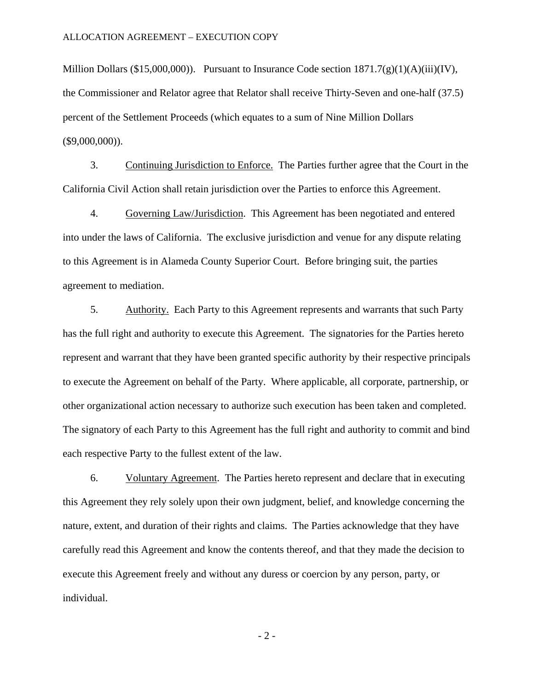#### ALLOCATION AGREEMENT – EXECUTION COPY

Million Dollars (\$15,000,000)). Pursuant to Insurance Code section  $1871.7(g)(1)(A)(iii)(IV)$ ,  $(\$9,000,000)$ ). (\$9,000,000)).<br>3. Continuing Jurisdiction to Enforce. The Parties further agree that the Court in the the Commissioner and Relator agree that Relator shall receive Thirty-Seven and one-half (37.5) percent of the Settlement Proceeds (which equates to a sum of Nine Million Dollars

California Civil Action shall retain jurisdiction over the Parties to enforce this Agreement.

 to this Agreement is in Alameda County Superior Court. Before bringing suit, the parties 4. Governing Law/Jurisdiction. This Agreement has been negotiated and entered into under the laws of California. The exclusive jurisdiction and venue for any dispute relating agreement to mediation.

5. Authority. Each Party to this Agreement represents and warrants that such Party to execute the Agreement on behalf of the Party. Where applicable, all corporate, partnership, or The signatory of each Party to this Agreement has the full right and authority to commit and bind each respective Party to the fullest extent of the law. has the full right and authority to execute this Agreement. The signatories for the Parties hereto represent and warrant that they have been granted specific authority by their respective principals other organizational action necessary to authorize such execution has been taken and completed.

 execute this Agreement freely and without any duress or coercion by any person, party, or 6. Voluntary Agreement. The Parties hereto represent and declare that in executing this Agreement they rely solely upon their own judgment, belief, and knowledge concerning the nature, extent, and duration of their rights and claims. The Parties acknowledge that they have carefully read this Agreement and know the contents thereof, and that they made the decision to individual.

- 2 -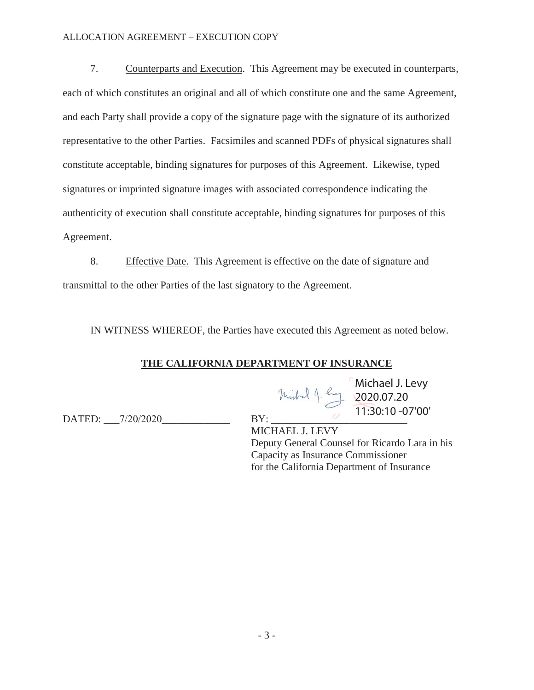#### ALLOCATION AGREEMENT – EXECUTION COPY

7. Counterparts and Execution. This Agreement may be executed in counterparts, each of which constitutes an original and all of which constitute one and the same Agreement, and each Party shall provide a copy of the signature page with the signature of its authorized representative to the other Parties. Facsimiles and scanned PDFs of physical signatures shall constitute acceptable, binding signatures for purposes of this Agreement. Likewise, typed signatures or imprinted signature images with associated correspondence indicating the authenticity of execution shall constitute acceptable, binding signatures for purposes of this Agreement.

8. Effective Date. This Agreement is effective on the date of signature and transmittal to the other Parties of the last signatory to the Agreement.

IN WITNESS WHEREOF, the Parties have executed this Agreement as noted below.

### **THE CALIFORNIA DEPARTMENT OF INSURANCE**

 $BY:$ Michael J. Levy Michael J. Le<br>2020.07.20 11:30:10 -07'00'

DATED:  $7/20/2020$ 

 MICHAEL J. LEVY Deputy General Counsel for Ricardo Lara in his Capacity as Insurance Commissioner for the California Department of Insurance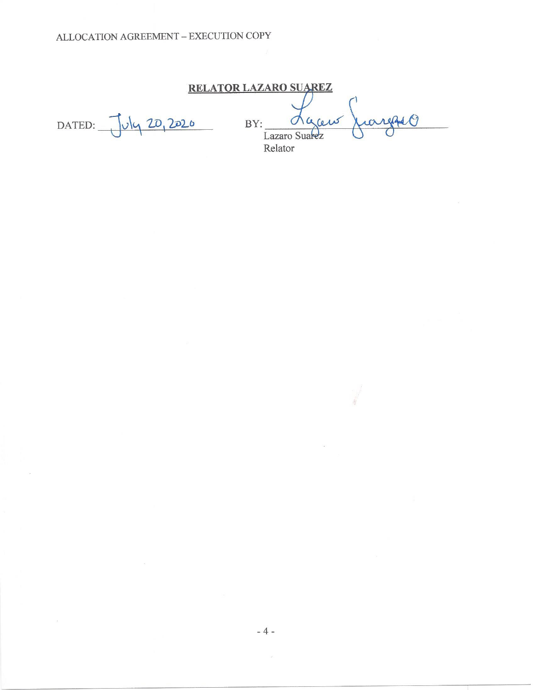# RELATOR LAZARO SUAREZ

DATED: July 20, 2020

 $440$ BY: Lazaro Sua Relator

 $-4-$